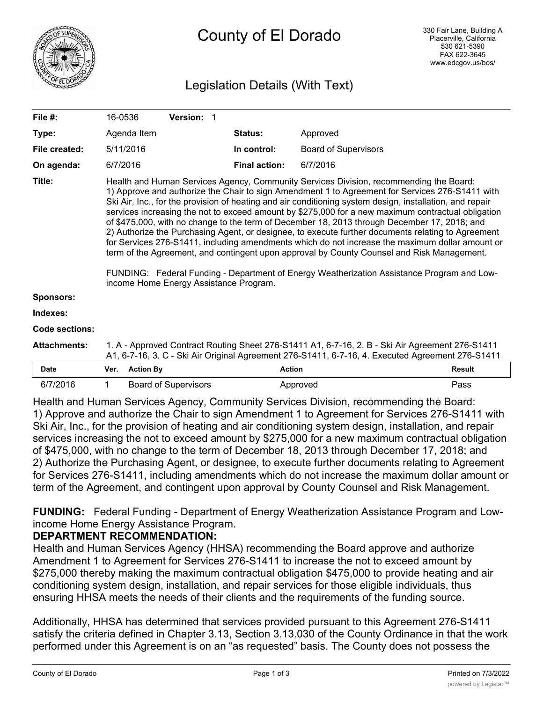

# Legislation Details (With Text)

| File $#$ :            | 16-0536                                                                                                                                                                                                                                                                                                                                                                                                                                                                                                                                                                                                                                                                                                                                                                                                                                                                                                                                                    |                  | Version: 1                  |                      |                             |               |
|-----------------------|------------------------------------------------------------------------------------------------------------------------------------------------------------------------------------------------------------------------------------------------------------------------------------------------------------------------------------------------------------------------------------------------------------------------------------------------------------------------------------------------------------------------------------------------------------------------------------------------------------------------------------------------------------------------------------------------------------------------------------------------------------------------------------------------------------------------------------------------------------------------------------------------------------------------------------------------------------|------------------|-----------------------------|----------------------|-----------------------------|---------------|
| Type:                 |                                                                                                                                                                                                                                                                                                                                                                                                                                                                                                                                                                                                                                                                                                                                                                                                                                                                                                                                                            | Agenda Item      |                             | <b>Status:</b>       | Approved                    |               |
| File created:         |                                                                                                                                                                                                                                                                                                                                                                                                                                                                                                                                                                                                                                                                                                                                                                                                                                                                                                                                                            | 5/11/2016        |                             | In control:          | <b>Board of Supervisors</b> |               |
| On agenda:            | 6/7/2016                                                                                                                                                                                                                                                                                                                                                                                                                                                                                                                                                                                                                                                                                                                                                                                                                                                                                                                                                   |                  |                             | <b>Final action:</b> | 6/7/2016                    |               |
| Title:                | Health and Human Services Agency, Community Services Division, recommending the Board:<br>1) Approve and authorize the Chair to sign Amendment 1 to Agreement for Services 276-S1411 with<br>Ski Air, Inc., for the provision of heating and air conditioning system design, installation, and repair<br>services increasing the not to exceed amount by \$275,000 for a new maximum contractual obligation<br>of \$475,000, with no change to the term of December 18, 2013 through December 17, 2018; and<br>2) Authorize the Purchasing Agent, or designee, to execute further documents relating to Agreement<br>for Services 276-S1411, including amendments which do not increase the maximum dollar amount or<br>term of the Agreement, and contingent upon approval by County Counsel and Risk Management.<br>FUNDING: Federal Funding - Department of Energy Weatherization Assistance Program and Low-<br>income Home Energy Assistance Program. |                  |                             |                      |                             |               |
| <b>Sponsors:</b>      |                                                                                                                                                                                                                                                                                                                                                                                                                                                                                                                                                                                                                                                                                                                                                                                                                                                                                                                                                            |                  |                             |                      |                             |               |
| Indexes:              |                                                                                                                                                                                                                                                                                                                                                                                                                                                                                                                                                                                                                                                                                                                                                                                                                                                                                                                                                            |                  |                             |                      |                             |               |
| <b>Code sections:</b> |                                                                                                                                                                                                                                                                                                                                                                                                                                                                                                                                                                                                                                                                                                                                                                                                                                                                                                                                                            |                  |                             |                      |                             |               |
| <b>Attachments:</b>   | 1. A - Approved Contract Routing Sheet 276-S1411 A1, 6-7-16, 2. B - Ski Air Agreement 276-S1411<br>A1, 6-7-16, 3. C - Ski Air Original Agreement 276-S1411, 6-7-16, 4. Executed Agreement 276-S1411                                                                                                                                                                                                                                                                                                                                                                                                                                                                                                                                                                                                                                                                                                                                                        |                  |                             |                      |                             |               |
| <b>Date</b>           | Ver.                                                                                                                                                                                                                                                                                                                                                                                                                                                                                                                                                                                                                                                                                                                                                                                                                                                                                                                                                       | <b>Action By</b> |                             | <b>Action</b>        |                             | <b>Result</b> |
| 6/7/2016              | 1                                                                                                                                                                                                                                                                                                                                                                                                                                                                                                                                                                                                                                                                                                                                                                                                                                                                                                                                                          |                  | <b>Board of Supervisors</b> |                      | Approved                    | Pass          |

Health and Human Services Agency, Community Services Division, recommending the Board: 1) Approve and authorize the Chair to sign Amendment 1 to Agreement for Services 276-S1411 with Ski Air, Inc., for the provision of heating and air conditioning system design, installation, and repair services increasing the not to exceed amount by \$275,000 for a new maximum contractual obligation of \$475,000, with no change to the term of December 18, 2013 through December 17, 2018; and 2) Authorize the Purchasing Agent, or designee, to execute further documents relating to Agreement for Services 276-S1411, including amendments which do not increase the maximum dollar amount or term of the Agreement, and contingent upon approval by County Counsel and Risk Management.

**FUNDING:** Federal Funding - Department of Energy Weatherization Assistance Program and Lowincome Home Energy Assistance Program.

## **DEPARTMENT RECOMMENDATION:**

Health and Human Services Agency (HHSA) recommending the Board approve and authorize Amendment 1 to Agreement for Services 276-S1411 to increase the not to exceed amount by \$275,000 thereby making the maximum contractual obligation \$475,000 to provide heating and air conditioning system design, installation, and repair services for those eligible individuals, thus ensuring HHSA meets the needs of their clients and the requirements of the funding source.

Additionally, HHSA has determined that services provided pursuant to this Agreement 276-S1411 satisfy the criteria defined in Chapter 3.13, Section 3.13.030 of the County Ordinance in that the work performed under this Agreement is on an "as requested" basis. The County does not possess the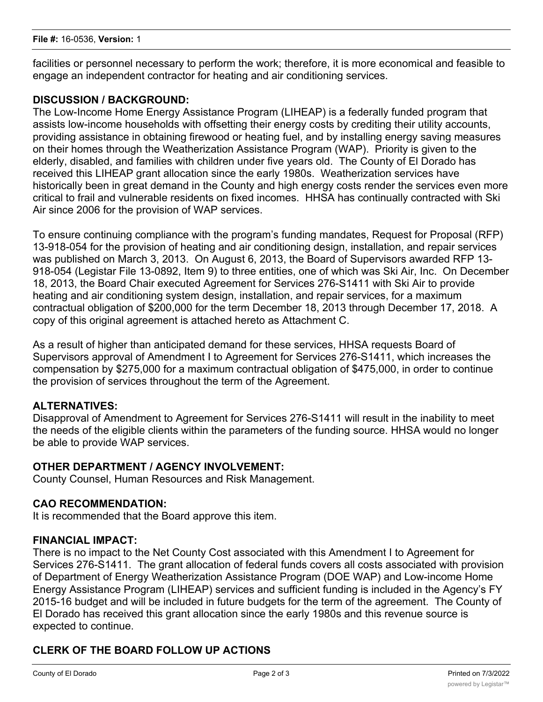facilities or personnel necessary to perform the work; therefore, it is more economical and feasible to engage an independent contractor for heating and air conditioning services.

## **DISCUSSION / BACKGROUND:**

The Low-Income Home Energy Assistance Program (LIHEAP) is a federally funded program that assists low-income households with offsetting their energy costs by crediting their utility accounts, providing assistance in obtaining firewood or heating fuel, and by installing energy saving measures on their homes through the Weatherization Assistance Program (WAP). Priority is given to the elderly, disabled, and families with children under five years old. The County of El Dorado has received this LIHEAP grant allocation since the early 1980s. Weatherization services have historically been in great demand in the County and high energy costs render the services even more critical to frail and vulnerable residents on fixed incomes. HHSA has continually contracted with Ski Air since 2006 for the provision of WAP services.

To ensure continuing compliance with the program's funding mandates, Request for Proposal (RFP) 13-918-054 for the provision of heating and air conditioning design, installation, and repair services was published on March 3, 2013. On August 6, 2013, the Board of Supervisors awarded RFP 13- 918-054 (Legistar File 13-0892, Item 9) to three entities, one of which was Ski Air, Inc. On December 18, 2013, the Board Chair executed Agreement for Services 276-S1411 with Ski Air to provide heating and air conditioning system design, installation, and repair services, for a maximum contractual obligation of \$200,000 for the term December 18, 2013 through December 17, 2018. A copy of this original agreement is attached hereto as Attachment C.

As a result of higher than anticipated demand for these services, HHSA requests Board of Supervisors approval of Amendment I to Agreement for Services 276-S1411, which increases the compensation by \$275,000 for a maximum contractual obligation of \$475,000, in order to continue the provision of services throughout the term of the Agreement.

## **ALTERNATIVES:**

Disapproval of Amendment to Agreement for Services 276-S1411 will result in the inability to meet the needs of the eligible clients within the parameters of the funding source. HHSA would no longer be able to provide WAP services.

#### **OTHER DEPARTMENT / AGENCY INVOLVEMENT:**

County Counsel, Human Resources and Risk Management.

#### **CAO RECOMMENDATION:**

It is recommended that the Board approve this item.

#### **FINANCIAL IMPACT:**

There is no impact to the Net County Cost associated with this Amendment I to Agreement for Services 276-S1411. The grant allocation of federal funds covers all costs associated with provision of Department of Energy Weatherization Assistance Program (DOE WAP) and Low-income Home Energy Assistance Program (LIHEAP) services and sufficient funding is included in the Agency's FY 2015-16 budget and will be included in future budgets for the term of the agreement. The County of El Dorado has received this grant allocation since the early 1980s and this revenue source is expected to continue.

## **CLERK OF THE BOARD FOLLOW UP ACTIONS**